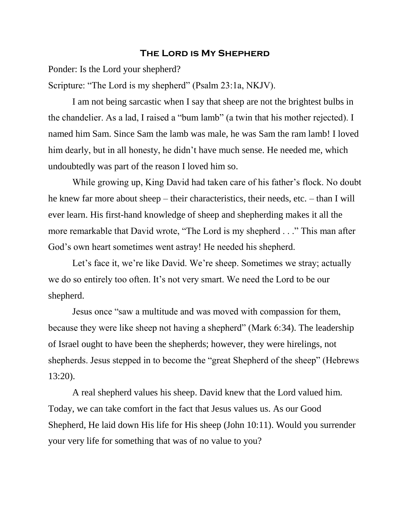## **The Lord is My Shepherd**

Ponder: Is the Lord your shepherd?

Scripture: "The Lord is my shepherd" (Psalm 23:1a, NKJV).

I am not being sarcastic when I say that sheep are not the brightest bulbs in the chandelier. As a lad, I raised a "bum lamb" (a twin that his mother rejected). I named him Sam. Since Sam the lamb was male, he was Sam the ram lamb! I loved him dearly, but in all honesty, he didn't have much sense. He needed me, which undoubtedly was part of the reason I loved him so.

While growing up, King David had taken care of his father's flock. No doubt he knew far more about sheep – their characteristics, their needs, etc. – than I will ever learn. His first-hand knowledge of sheep and shepherding makes it all the more remarkable that David wrote, "The Lord is my shepherd . . ." This man after God's own heart sometimes went astray! He needed his shepherd.

Let's face it, we're like David. We're sheep. Sometimes we stray; actually we do so entirely too often. It's not very smart. We need the Lord to be our shepherd.

Jesus once "saw a multitude and was moved with compassion for them, because they were like sheep not having a shepherd" (Mark 6:34). The leadership of Israel ought to have been the shepherds; however, they were hirelings, not shepherds. Jesus stepped in to become the "great Shepherd of the sheep" (Hebrews 13:20).

A real shepherd values his sheep. David knew that the Lord valued him. Today, we can take comfort in the fact that Jesus values us. As our Good Shepherd, He laid down His life for His sheep (John 10:11). Would you surrender your very life for something that was of no value to you?